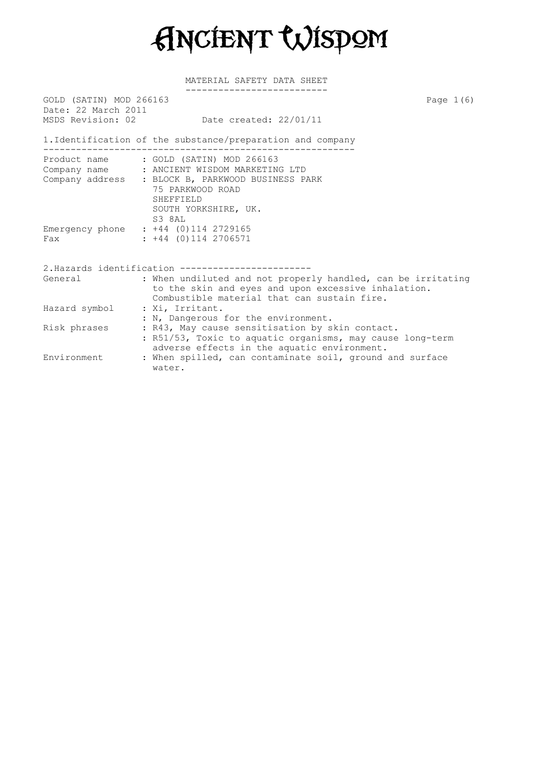

| GOLD (SATIN) MOD 266163<br>Date: 22 March 2011 | Page $1(6)$                                                                                                                                                                                                          |
|------------------------------------------------|----------------------------------------------------------------------------------------------------------------------------------------------------------------------------------------------------------------------|
| MSDS Revision: 02                              | Date created: 22/01/11                                                                                                                                                                                               |
|                                                | 1. Identification of the substance/preparation and company                                                                                                                                                           |
|                                                | Product name : GOLD (SATIN) MOD 266163<br>Company name : ANCIENT WISDOM MARKETING LTD<br>Company address : BLOCK B, PARKWOOD BUSINESS PARK<br>75 PARKWOOD ROAD<br><b>SHEFFIELD</b><br>SOUTH YORKSHIRE, UK.<br>S3 8AL |
| Fax                                            | Emergency phone : +44 (0)114 2729165<br>$: +44$ (0)114 2706571                                                                                                                                                       |
|                                                | 2. Hazards identification -------------------                                                                                                                                                                        |
| General                                        | : When undiluted and not properly handled, can be irritating<br>to the skin and eyes and upon excessive inhalation.<br>Combustible material that can sustain fire.                                                   |
| Hazard symbol                                  | : Xi, Irritant.<br>: N, Dangerous for the environment.                                                                                                                                                               |
| Risk phrases                                   | : R43, May cause sensitisation by skin contact.<br>: R51/53, Toxic to aquatic organisms, may cause long-term<br>adverse effects in the aquatic environment.                                                          |
| Environment                                    | : When spilled, can contaminate soil, ground and surface<br>water.                                                                                                                                                   |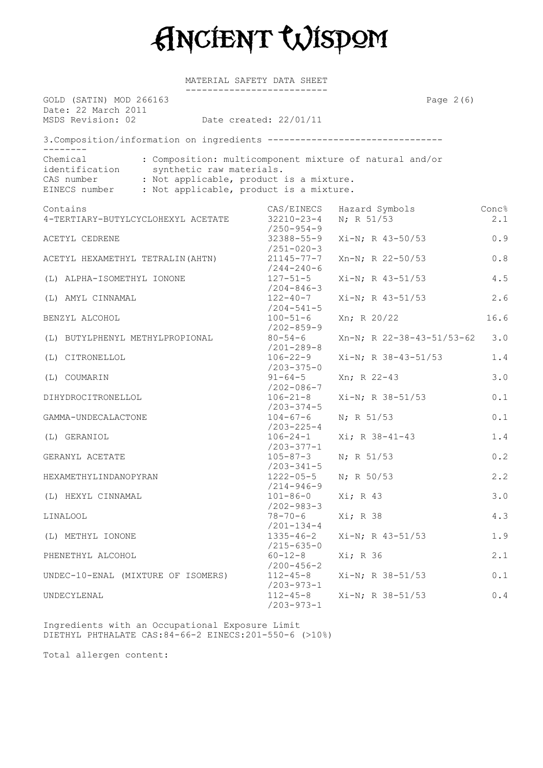

MATERIAL SAFETY DATA SHEET

| GOLD (SATIN) MOD 266163<br>Date: 22 March 2011<br>MSDS Revision: 02 Date created: 22/01/11        | Page $2(6)$                                                                                                                    |                              |                                                       |
|---------------------------------------------------------------------------------------------------|--------------------------------------------------------------------------------------------------------------------------------|------------------------------|-------------------------------------------------------|
| 3. Composition/information on ingredients --------------------------------                        |                                                                                                                                |                              |                                                       |
| Chemical<br>identification<br>CAS number<br>EINECS number : Not applicable, product is a mixture. | : Composition: multicomponent mixture of natural and/or<br>synthetic raw materials.<br>: Not applicable, product is a mixture. |                              |                                                       |
| Contains<br>4-TERTIARY-BUTYLCYCLOHEXYL ACETATE                                                    | CAS/EINECS<br>$32210 - 23 - 4$                                                                                                 | Hazard Symbols<br>N; R 51/53 | Conc%<br>2.1                                          |
| ACETYL CEDRENE                                                                                    | $/250 - 954 - 9$<br>$32388 - 55 - 9$<br>$/251 - 020 - 3$                                                                       | $Xi-N; R 43-50/53$           | $0.9$                                                 |
| ACETYL HEXAMETHYL TETRALIN (AHTN)                                                                 | $21145 - 77 - 7$<br>$/244 - 240 - 6$                                                                                           | Xn-N; R 22-50/53             | $0.8$                                                 |
| (L) ALPHA-ISOMETHYL IONONE                                                                        | $127 - 51 - 5$<br>$/204 - 846 - 3$                                                                                             | $Xi-N$ ; R 43-51/53          | 4.5                                                   |
| (L) AMYL CINNAMAL                                                                                 | $122 - 40 - 7$<br>$/204 - 541 - 5$                                                                                             | $Xi-N; R 43-51/53$           | 2.6                                                   |
| BENZYL ALCOHOL                                                                                    | $100 - 51 - 6$<br>$/202 - 859 - 9$                                                                                             | Xn; R 20/22                  | 16.6                                                  |
| (L) BUTYLPHENYL METHYLPROPIONAL                                                                   | $80 - 54 - 6$<br>$/201 - 289 - 8$                                                                                              | Xn-N; R 22-38-43-51/53-62    | 3.0                                                   |
| (L) CITRONELLOL                                                                                   | $106 - 22 - 9$<br>$/203 - 375 - 0$                                                                                             | $Xi-N$ ; R 38-43-51/53       | 1.4                                                   |
| (L) COUMARIN                                                                                      | $91 - 64 - 5$<br>$/202 - 086 - 7$                                                                                              | Xn; R 22-43                  | 3.0                                                   |
| DIHYDROCITRONELLOL                                                                                | $106 - 21 - 8$<br>$/203 - 374 - 5$                                                                                             | Xi-N; R 38-51/53             | 0.1                                                   |
| GAMMA-UNDECALACTONE                                                                               | $104 - 67 - 6$<br>/203-225-4                                                                                                   | N; R 51/53                   | 0.1                                                   |
| (L) GERANIOL                                                                                      | $106 - 24 - 1$<br>$/203 - 377 - 1$                                                                                             | $Xi; R 38-41-43$             | 1.4                                                   |
| GERANYL ACETATE<br>HEXAMETHYLINDANOPYRAN                                                          | $105 - 87 - 3$<br>$/203 - 341 - 5$<br>$1222 - 05 - 5$                                                                          | N; R 51/53<br>$N$ ; R 50/53  | 0.2<br>2.2                                            |
| (L) HEXYL CINNAMAL                                                                                | $/214 - 946 - 9$<br>$101 - 86 - 0$ Xi; R 43                                                                                    |                              | 3.0                                                   |
| <b>LINALOOL</b>                                                                                   | $/202 - 983 - 3$<br>$78 - 70 - 6$                                                                                              | Xi; R 38                     | 4.3                                                   |
| (L) METHYL IONONE                                                                                 | $/201 - 134 - 4$<br>$1335 - 46 - 2$                                                                                            | $Xi-N$ ; R 43-51/53          | 1.9                                                   |
| PHENETHYL ALCOHOL                                                                                 | $/215 - 635 - 0$<br>$60 - 12 - 8$                                                                                              | Xi; R 36                     | 2.1                                                   |
| UNDEC-10-ENAL (MIXTURE OF ISOMERS)                                                                | $/200 - 456 - 2$<br>$112 - 45 - 8$                                                                                             | Xi-N; R 38-51/53             | $0.1\,$                                               |
| UNDECYLENAL                                                                                       | $/203 - 973 - 1$<br>$112 - 45 - 8$<br>$/203 - 973 - 1$                                                                         | $Xi-N$ ; R $38-51/53$        | $\ensuremath{\mathsf{0}}$ . $\ensuremath{\mathsf{4}}$ |

Ingredients with an Occupational Exposure Limit DIETHYL PHTHALATE CAS:84-66-2 EINECS:201-550-6 (>10%)

Total allergen content: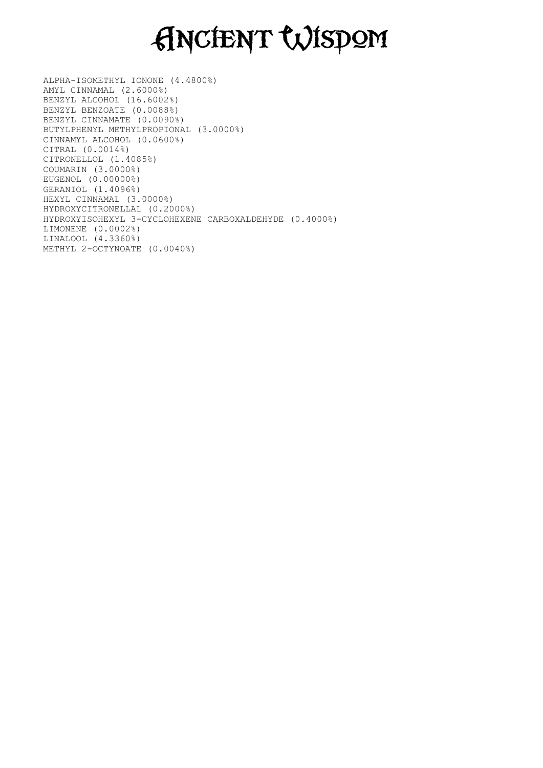## Ancient Wisdom

ALPHA-ISOMETHYL IONONE (4.4800%) AMYL CINNAMAL (2.6000%) BENZYL ALCOHOL (16.6002%) BENZYL BENZOATE (0.0088%) BENZYL CINNAMATE (0.0090%) BUTYLPHENYL METHYLPROPIONAL (3.0000%) CINNAMYL ALCOHOL (0.0600%) CITRAL (0.0014%) CITRONELLOL (1.4085%) COUMARIN (3.0000%) EUGENOL (0.00000%) GERANIOL (1.4096%) HEXYL CINNAMAL (3.0000%) HYDROXYCITRONELLAL (0.2000%) HYDROXYISOHEXYL 3-CYCLOHEXENE CARBOXALDEHYDE (0.4000%) LIMONENE (0.0002%) LINALOOL (4.3360%) METHYL 2-OCTYNOATE (0.0040%)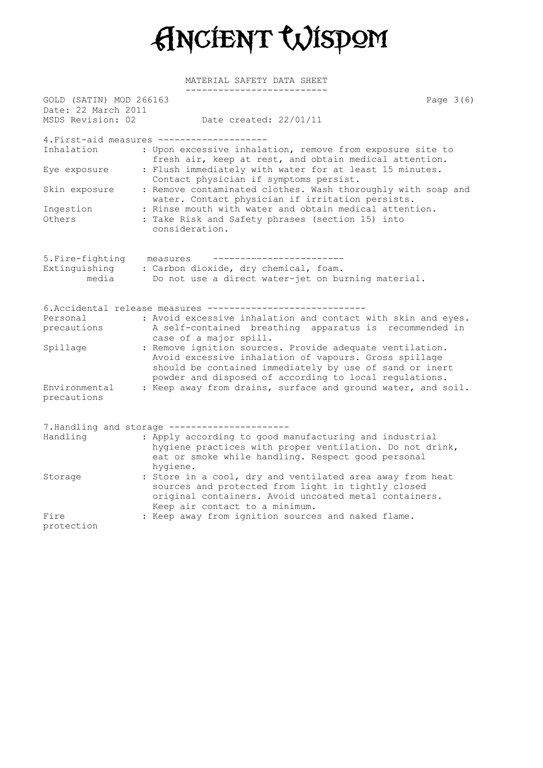

| GOLD (SATIN) MOD 266163                  |                                                                                                                                                                                                                                        | Page 3(6) |
|------------------------------------------|----------------------------------------------------------------------------------------------------------------------------------------------------------------------------------------------------------------------------------------|-----------|
| Date: 22 March 2011<br>MSDS Revision: 02 | Date created: 22/01/11                                                                                                                                                                                                                 |           |
|                                          | 4. First-aid measures --------------------                                                                                                                                                                                             |           |
| Inhalation                               | : Upon excessive inhalation, remove from exposure site to<br>fresh air, keep at rest, and obtain medical attention.                                                                                                                    |           |
| Eye exposure                             | : Flush immediately with water for at least 15 minutes.<br>Contact physician if symptoms persist.                                                                                                                                      |           |
| Skin exposure                            | : Remove contaminated clothes. Wash thoroughly with soap and<br>water. Contact physician if irritation persists.                                                                                                                       |           |
| Ingestion                                | : Rinse mouth with water and obtain medical attention.                                                                                                                                                                                 |           |
| Others                                   | : Take Risk and Safety phrases (section 15) into<br>consideration.                                                                                                                                                                     |           |
| 5. Fire-fighting                         | ________________________<br>measures                                                                                                                                                                                                   |           |
| Extinguishing                            | : Carbon dioxide, dry chemical, foam.                                                                                                                                                                                                  |           |
| media                                    | Do not use a direct water-jet on burning material.                                                                                                                                                                                     |           |
|                                          | 6. Accidental release measures --------                                                                                                                                                                                                |           |
| Personal                                 | : Avoid excessive inhalation and contact with skin and eyes.                                                                                                                                                                           |           |
| precautions                              | A self-contained breathing apparatus is recommended in<br>case of a major spill.                                                                                                                                                       |           |
| Spillage                                 | : Remove ignition sources. Provide adequate ventilation.<br>Avoid excessive inhalation of vapours. Gross spillage<br>should be contained immediately by use of sand or inert<br>powder and disposed of according to local regulations. |           |
| Environmental<br>precautions             | : Keep away from drains, surface and ground water, and soil.                                                                                                                                                                           |           |
|                                          | 7. Handling and storage ----------------------                                                                                                                                                                                         |           |
| Handling                                 | : Apply according to good manufacturing and industrial<br>hygiene practices with proper ventilation. Do not drink,<br>eat or smoke while handling. Respect good personal<br>hygiene.                                                   |           |
| Storage                                  | : Store in a cool, dry and ventilated area away from heat<br>sources and protected from light in tightly closed<br>original containers. Avoid uncoated metal containers.<br>Keep air contact to a minimum.                             |           |
| Fire                                     | : Keep away from ignition sources and naked flame.                                                                                                                                                                                     |           |
| $n \times 2 + 2 \times 1$                |                                                                                                                                                                                                                                        |           |

protection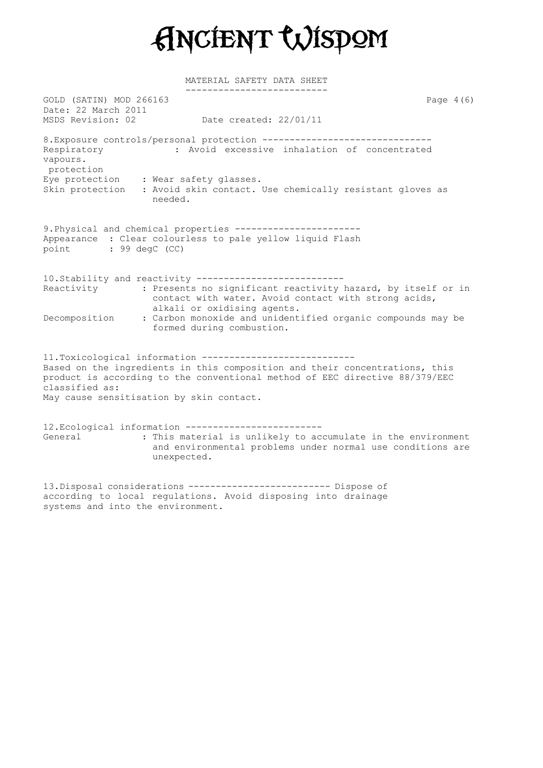

 $GOLD$  (SATIN) MOD 266163  $P = P$  and  $P = P$  and  $P = P$  and  $P = P$  and  $P = P$  and  $P = P$  and  $P = P$  and  $P = P$  and  $P = P$  and  $P = P$  and  $P = P$  and  $P = P$  and  $P = P$  and  $P = P$  and  $P = P$  and  $P = P$  and  $P = P$  and  $P = P$  and  $P = P$  and  $P = P$  a Date: 22 March 2011 MSDS Revision: 02 Date created: 22/01/11 8. Exposure controls/personal protection --------------------------------Respiratory : Avoid excessive inhalation of concentrated vapours. protection Eye protection : Wear safety glasses. Skin protection : Avoid skin contact. Use chemically resistant gloves as needed. 9.Physical and chemical properties ----------------------- Appearance : Clear colourless to pale yellow liquid Flash point : 99 degC (CC) 10.Stability and reactivity --------------------------- Reactivity : Presents no significant reactivity hazard, by itself or in contact with water. Avoid contact with strong acids, alkali or oxidising agents. Decomposition : Carbon monoxide and unidentified organic compounds may be formed during combustion. 11.Toxicological information ---------------------------- Based on the ingredients in this composition and their concentrations, this product is according to the conventional method of EEC directive 88/379/EEC classified as: May cause sensitisation by skin contact. 12.Ecological information ------------------------- General : This material is unlikely to accumulate in the environment and environmental problems under normal use conditions are unexpected.

13.Disposal considerations -------------------------- Dispose of according to local regulations. Avoid disposing into drainage systems and into the environment.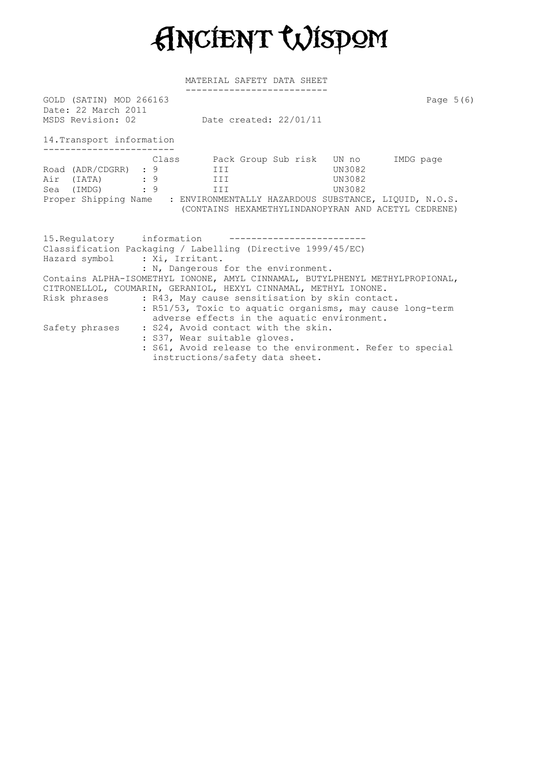

MATERIAL SAFETY DATA SHEET

| GOLD (SATIN) MOD 266163<br>Date: 22 March 2011               | MSDS Revision: 02 Date created: 22/01/11                                                                                                                                                                                                                                                                                    | Page $5(6)$ |
|--------------------------------------------------------------|-----------------------------------------------------------------------------------------------------------------------------------------------------------------------------------------------------------------------------------------------------------------------------------------------------------------------------|-------------|
|                                                              |                                                                                                                                                                                                                                                                                                                             |             |
| 14. Transport information                                    |                                                                                                                                                                                                                                                                                                                             |             |
| Road (ADR/CDGRR) : 9<br>Air (IATA) : 9<br>Sea (IMDG) : 9 III | Class     Pack Group Sub risk   UN no     IMDG page<br>UN3082<br>III<br>UN3082<br><b>III</b><br>UN3082<br>Proper Shipping Name : ENVIRONMENTALLY HAZARDOUS SUBSTANCE, LIQUID, N.O.S.<br>(CONTAINS HEXAMETHYLINDANOPYRAN AND ACETYL CEDRENE)                                                                                 |             |
| Hazard symbol : Xi, Irritant.                                | 15. Requiatory information -----------------<br>Classification Packaging / Labelling (Directive 1999/45/EC)<br>: N, Dangerous for the environment.                                                                                                                                                                          |             |
|                                                              | Contains ALPHA-ISOMETHYL IONONE, AMYL CINNAMAL, BUTYLPHENYL METHYLPROPIONAL,<br>CITRONELLOL, COUMARIN, GERANIOL, HEXYL CINNAMAL, METHYL IONONE.<br>Risk phrases : R43, May cause sensitisation by skin contact.<br>: R51/53, Toxic to aquatic organisms, may cause long-term<br>adverse effects in the aquatic environment. |             |
|                                                              | Safety phrases : S24, Avoid contact with the skin.<br>: S37, Wear suitable gloves.<br>: S61, Avoid release to the environment. Refer to special<br>instructions/safety data sheet.                                                                                                                                          |             |